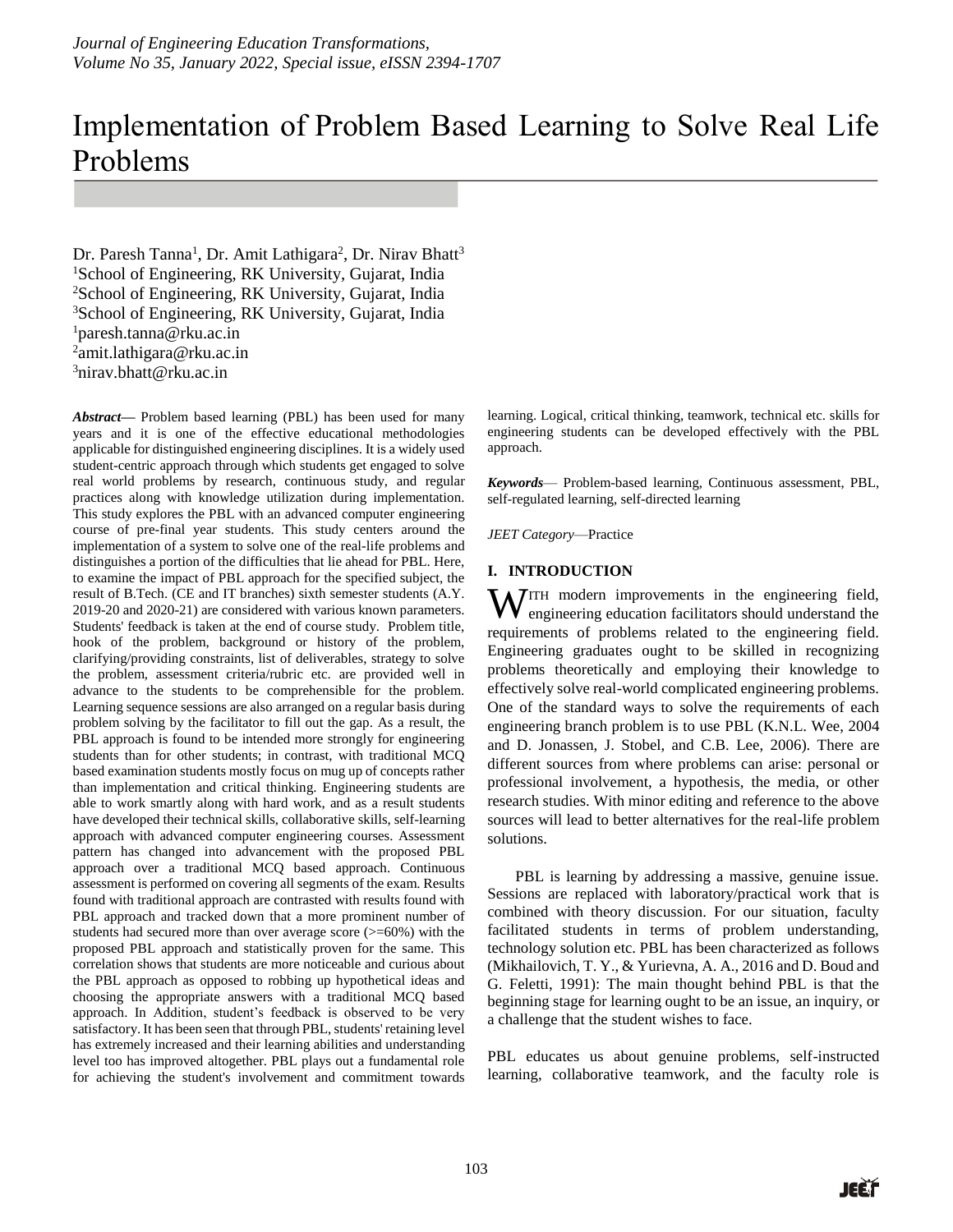# Implementation of Problem Based Learning to Solve Real Life Problems

Dr. Paresh Tanna<sup>1</sup>, Dr. Amit Lathigara<sup>2</sup>, Dr. Nirav Bhatt<sup>3</sup> <sup>1</sup>School of Engineering, RK University, Gujarat, India <sup>2</sup>School of Engineering, RK University, Gujarat, India <sup>3</sup>School of Engineering, RK University, Gujarat, India <sup>1</sup>paresh.tanna@rku.ac.in <sup>2</sup>amit.lathigara@rku.ac.in  $3$ nirav.bhatt@rku.ac.in

*Abstract***—** Problem based learning (PBL) has been used for many years and it is one of the effective educational methodologies applicable for distinguished engineering disciplines. It is a widely used student-centric approach through which students get engaged to solve real world problems by research, continuous study, and regular practices along with knowledge utilization during implementation. This study explores the PBL with an advanced computer engineering course of pre-final year students. This study centers around the implementation of a system to solve one of the real-life problems and distinguishes a portion of the difficulties that lie ahead for PBL. Here, to examine the impact of PBL approach for the specified subject, the result of B.Tech. (CE and IT branches) sixth semester students (A.Y. 2019-20 and 2020-21) are considered with various known parameters. Students' feedback is taken at the end of course study. Problem title, hook of the problem, background or history of the problem, clarifying/providing constraints, list of deliverables, strategy to solve the problem, assessment criteria/rubric etc. are provided well in advance to the students to be comprehensible for the problem. Learning sequence sessions are also arranged on a regular basis during problem solving by the facilitator to fill out the gap. As a result, the PBL approach is found to be intended more strongly for engineering students than for other students; in contrast, with traditional MCQ based examination students mostly focus on mug up of concepts rather than implementation and critical thinking. Engineering students are able to work smartly along with hard work, and as a result students have developed their technical skills, collaborative skills, self-learning approach with advanced computer engineering courses. Assessment pattern has changed into advancement with the proposed PBL approach over a traditional MCQ based approach. Continuous assessment is performed on covering all segments of the exam. Results found with traditional approach are contrasted with results found with PBL approach and tracked down that a more prominent number of students had secured more than over average score (>=60%) with the proposed PBL approach and statistically proven for the same. This correlation shows that students are more noticeable and curious about the PBL approach as opposed to robbing up hypothetical ideas and choosing the appropriate answers with a traditional MCQ based approach. In Addition, student's feedback is observed to be very satisfactory. It has been seen that through PBL, students' retaining level has extremely increased and their learning abilities and understanding level too has improved altogether. PBL plays out a fundamental role for achieving the student's involvement and commitment towards

learning. Logical, critical thinking, teamwork, technical etc. skills for engineering students can be developed effectively with the PBL approach.

*Keywords*— Problem-based learning, Continuous assessment, PBL, self-regulated learning, self-directed learning

*JEET Category*—Practice

### **I. INTRODUCTION**

ITH modern improvements in the engineering field, engineering education facilitators should understand the requirements of problems related to the engineering field. Engineering graduates ought to be skilled in recognizing problems theoretically and employing their knowledge to effectively solve real-world complicated engineering problems. One of the standard ways to solve the requirements of each engineering branch problem is to use PBL (K.N.L. Wee, 2004 and D. Jonassen, J. Stobel, and C.B. Lee, 2006). There are different sources from where problems can arise: personal or professional involvement, a hypothesis, the media, or other research studies. With minor editing and reference to the above sources will lead to better alternatives for the real-life problem solutions. W

PBL is learning by addressing a massive, genuine issue. Sessions are replaced with laboratory/practical work that is combined with theory discussion. For our situation, faculty facilitated students in terms of problem understanding, technology solution etc. PBL has been characterized as follows (Mikhailovich, T. Y., & Yurievna, A. A., 2016 and D. Boud and G. Feletti, 1991): The main thought behind PBL is that the beginning stage for learning ought to be an issue, an inquiry, or a challenge that the student wishes to face.

PBL educates us about genuine problems, self-instructed learning, collaborative teamwork, and the faculty role is

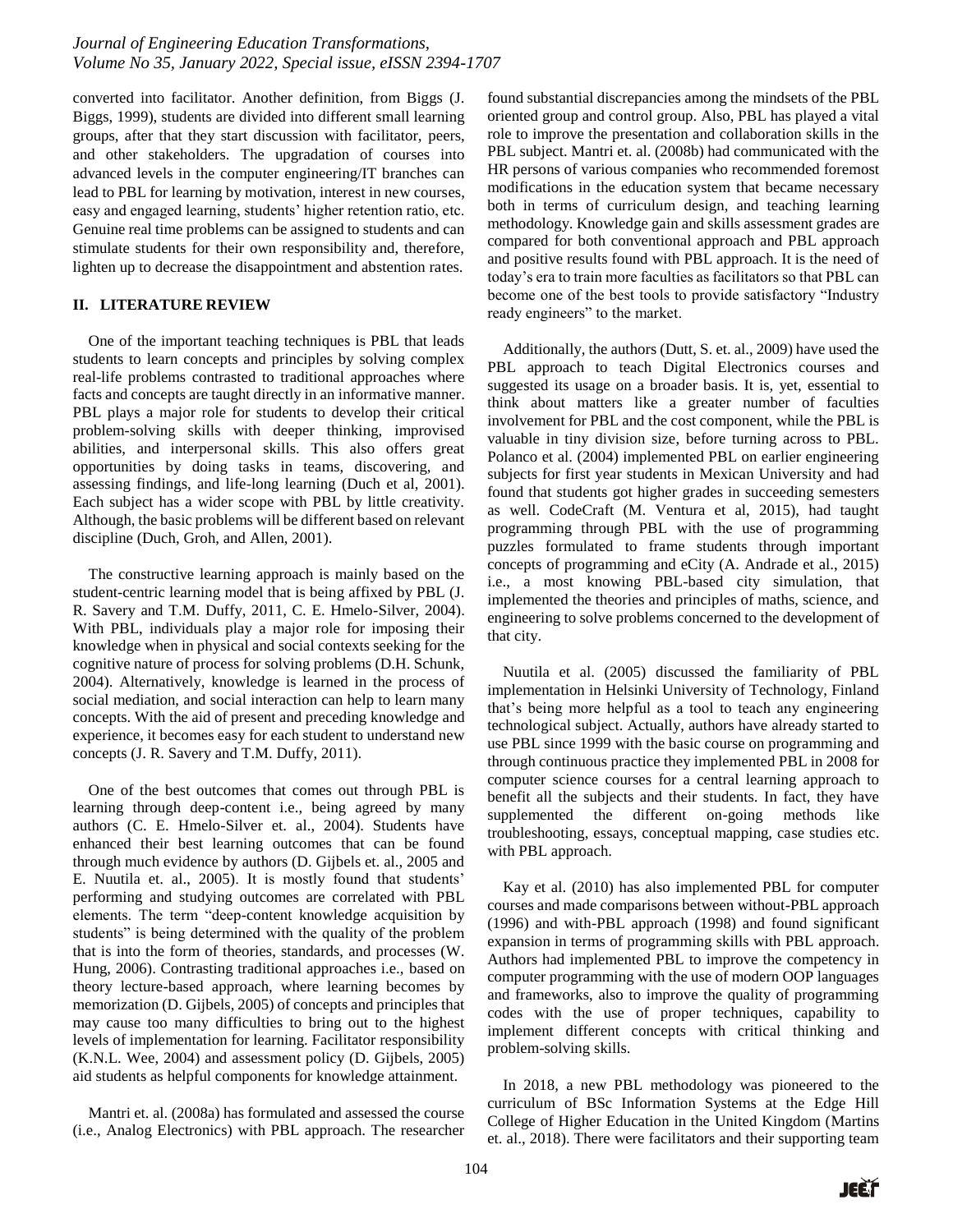converted into facilitator. Another definition, from Biggs (J. Biggs, 1999), students are divided into different small learning groups, after that they start discussion with facilitator, peers, and other stakeholders. The upgradation of courses into advanced levels in the computer engineering/IT branches can lead to PBL for learning by motivation, interest in new courses, easy and engaged learning, students' higher retention ratio, etc. Genuine real time problems can be assigned to students and can stimulate students for their own responsibility and, therefore, lighten up to decrease the disappointment and abstention rates.

## **II. LITERATURE REVIEW**

One of the important teaching techniques is PBL that leads students to learn concepts and principles by solving complex real-life problems contrasted to traditional approaches where facts and concepts are taught directly in an informative manner. PBL plays a major role for students to develop their critical problem-solving skills with deeper thinking, improvised abilities, and interpersonal skills. This also offers great opportunities by doing tasks in teams, discovering, and assessing findings, and life-long learning (Duch et al, 2001). Each subject has a wider scope with PBL by little creativity. Although, the basic problems will be different based on relevant discipline (Duch, Groh, and Allen, 2001).

The constructive learning approach is mainly based on the student-centric learning model that is being affixed by PBL (J. R. Savery and T.M. Duffy, 2011, C. E. Hmelo-Silver, 2004). With PBL, individuals play a major role for imposing their knowledge when in physical and social contexts seeking for the cognitive nature of process for solving problems (D.H. Schunk, 2004). Alternatively, knowledge is learned in the process of social mediation, and social interaction can help to learn many concepts. With the aid of present and preceding knowledge and experience, it becomes easy for each student to understand new concepts (J. R. Savery and T.M. Duffy, 2011).

One of the best outcomes that comes out through PBL is learning through deep-content i.e., being agreed by many authors (C. E. Hmelo-Silver et. al., 2004). Students have enhanced their best learning outcomes that can be found through much evidence by authors (D. Gijbels et. al., 2005 and E. Nuutila et. al., 2005). It is mostly found that students' performing and studying outcomes are correlated with PBL elements. The term "deep-content knowledge acquisition by students" is being determined with the quality of the problem that is into the form of theories, standards, and processes (W. Hung, 2006). Contrasting traditional approaches i.e., based on theory lecture-based approach, where learning becomes by memorization (D. Gijbels, 2005) of concepts and principles that may cause too many difficulties to bring out to the highest levels of implementation for learning. Facilitator responsibility (K.N.L. Wee, 2004) and assessment policy (D. Gijbels, 2005) aid students as helpful components for knowledge attainment.

Mantri et. al. (2008a) has formulated and assessed the course (i.e., Analog Electronics) with PBL approach. The researcher found substantial discrepancies among the mindsets of the PBL oriented group and control group. Also, PBL has played a vital role to improve the presentation and collaboration skills in the PBL subject. Mantri et. al. (2008b) had communicated with the HR persons of various companies who recommended foremost modifications in the education system that became necessary both in terms of curriculum design, and teaching learning methodology. Knowledge gain and skills assessment grades are compared for both conventional approach and PBL approach and positive results found with PBL approach. It is the need of today's era to train more faculties as facilitators so that PBL can become one of the best tools to provide satisfactory "Industry ready engineers" to the market.

Additionally, the authors (Dutt, S. et. al., 2009) have used the PBL approach to teach Digital Electronics courses and suggested its usage on a broader basis. It is, yet, essential to think about matters like a greater number of faculties involvement for PBL and the cost component, while the PBL is valuable in tiny division size, before turning across to PBL. Polanco et al. (2004) implemented PBL on earlier engineering subjects for first year students in Mexican University and had found that students got higher grades in succeeding semesters as well. CodeCraft (M. Ventura et al, 2015), had taught programming through PBL with the use of programming puzzles formulated to frame students through important concepts of programming and eCity (A. Andrade et al., 2015) i.e., a most knowing PBL-based city simulation, that implemented the theories and principles of maths, science, and engineering to solve problems concerned to the development of that city.

Nuutila et al. (2005) discussed the familiarity of PBL implementation in Helsinki University of Technology, Finland that's being more helpful as a tool to teach any engineering technological subject. Actually, authors have already started to use PBL since 1999 with the basic course on programming and through continuous practice they implemented PBL in 2008 for computer science courses for a central learning approach to benefit all the subjects and their students. In fact, they have supplemented the different on-going methods like troubleshooting, essays, conceptual mapping, case studies etc. with PBL approach.

Kay et al. (2010) has also implemented PBL for computer courses and made comparisons between without-PBL approach (1996) and with-PBL approach (1998) and found significant expansion in terms of programming skills with PBL approach. Authors had implemented PBL to improve the competency in computer programming with the use of modern OOP languages and frameworks, also to improve the quality of programming codes with the use of proper techniques, capability to implement different concepts with critical thinking and problem-solving skills.

In 2018, a new PBL methodology was pioneered to the curriculum of BSc Information Systems at the Edge Hill College of Higher Education in the United Kingdom (Martins et. al., 2018). There were facilitators and their supporting team

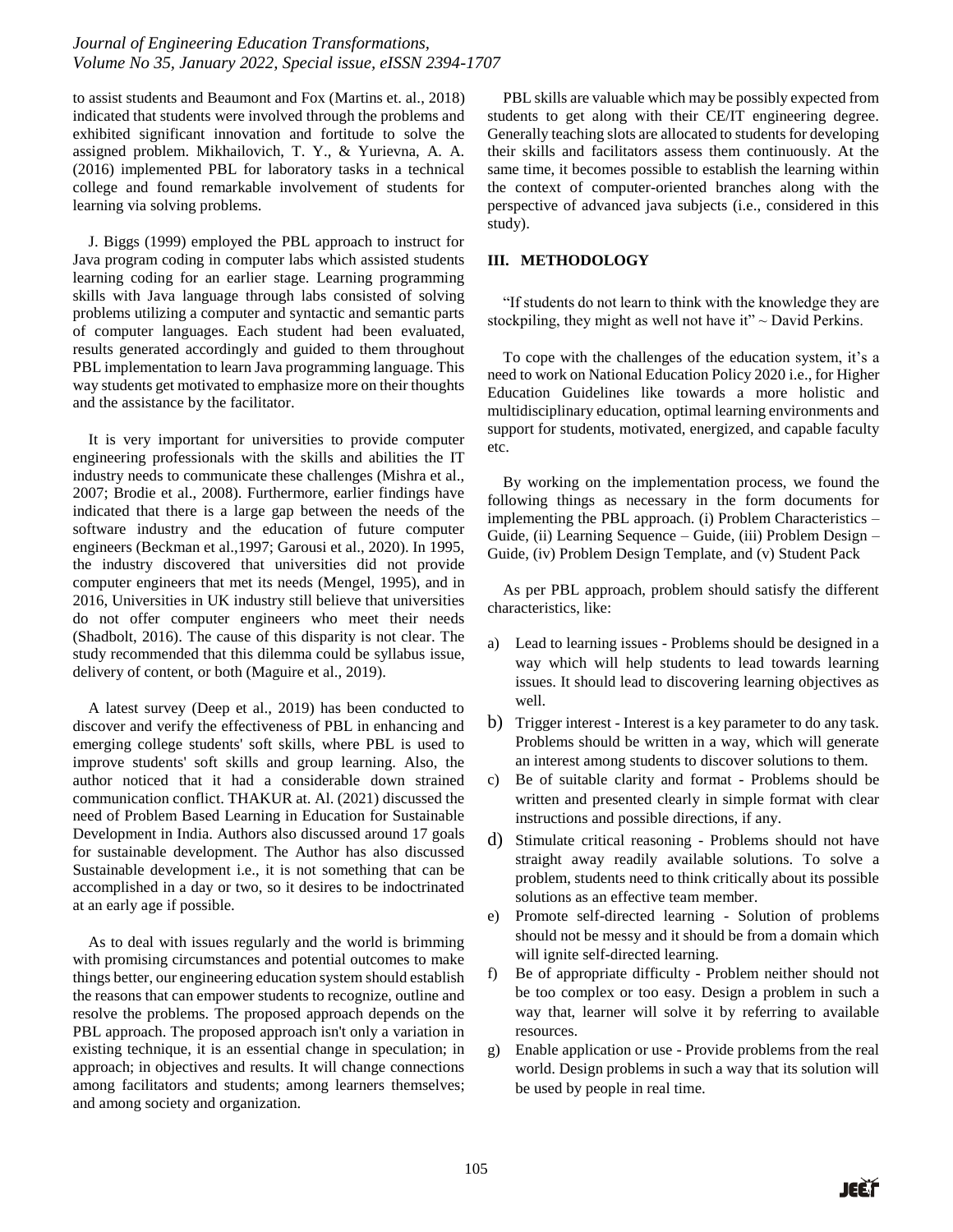to assist students and Beaumont and Fox (Martins et. al., 2018) indicated that students were involved through the problems and exhibited significant innovation and fortitude to solve the assigned problem. Mikhailovich, T. Y., & Yurievna, A. A. (2016) implemented PBL for laboratory tasks in a technical college and found remarkable involvement of students for learning via solving problems.

J. Biggs (1999) employed the PBL approach to instruct for Java program coding in computer labs which assisted students learning coding for an earlier stage. Learning programming skills with Java language through labs consisted of solving problems utilizing a computer and syntactic and semantic parts of computer languages. Each student had been evaluated, results generated accordingly and guided to them throughout PBL implementation to learn Java programming language. This way students get motivated to emphasize more on their thoughts and the assistance by the facilitator.

It is very important for universities to provide computer engineering professionals with the skills and abilities the IT industry needs to communicate these challenges (Mishra et al., 2007; Brodie et al., 2008). Furthermore, earlier findings have indicated that there is a large gap between the needs of the software industry and the education of future computer engineers (Beckman et al.,1997; Garousi et al., 2020). In 1995, the industry discovered that universities did not provide computer engineers that met its needs (Mengel, 1995), and in 2016, Universities in UK industry still believe that universities do not offer computer engineers who meet their needs (Shadbolt, 2016). The cause of this disparity is not clear. The study recommended that this dilemma could be syllabus issue, delivery of content, or both (Maguire et al., 2019).

A latest survey (Deep et al., 2019) has been conducted to discover and verify the effectiveness of PBL in enhancing and emerging college students' soft skills, where PBL is used to improve students' soft skills and group learning. Also, the author noticed that it had a considerable down strained communication conflict. THAKUR at. Al. (2021) discussed the need of Problem Based Learning in Education for Sustainable Development in India. Authors also discussed around 17 goals for sustainable development. The Author has also discussed Sustainable development i.e., it is not something that can be accomplished in a day or two, so it desires to be indoctrinated at an early age if possible.

As to deal with issues regularly and the world is brimming with promising circumstances and potential outcomes to make things better, our engineering education system should establish the reasons that can empower students to recognize, outline and resolve the problems. The proposed approach depends on the PBL approach. The proposed approach isn't only a variation in existing technique, it is an essential change in speculation; in approach; in objectives and results. It will change connections among facilitators and students; among learners themselves; and among society and organization.

PBL skills are valuable which may be possibly expected from students to get along with their CE/IT engineering degree. Generally teaching slots are allocated to students for developing their skills and facilitators assess them continuously. At the same time, it becomes possible to establish the learning within the context of computer-oriented branches along with the perspective of advanced java subjects (i.e., considered in this study).

# **III. METHODOLOGY**

"If students do not learn to think with the knowledge they are stockpiling, they might as well not have it" $\sim$  David Perkins.

To cope with the challenges of the education system, it's a need to work on National Education Policy 2020 i.e., for Higher Education Guidelines like towards a more holistic and multidisciplinary education, optimal learning environments and support for students, motivated, energized, and capable faculty etc.

By working on the implementation process, we found the following things as necessary in the form documents for implementing the PBL approach. (i) Problem Characteristics – Guide, (ii) Learning Sequence – Guide, (iii) Problem Design – Guide, (iv) Problem Design Template, and (v) Student Pack

As per PBL approach, problem should satisfy the different characteristics, like:

- a) Lead to learning issues Problems should be designed in a way which will help students to lead towards learning issues. It should lead to discovering learning objectives as well.
- b) Trigger interest Interest is a key parameter to do any task. Problems should be written in a way, which will generate an interest among students to discover solutions to them.
- c) Be of suitable clarity and format Problems should be written and presented clearly in simple format with clear instructions and possible directions, if any.
- d) Stimulate critical reasoning Problems should not have straight away readily available solutions. To solve a problem, students need to think critically about its possible solutions as an effective team member.
- e) Promote self-directed learning Solution of problems should not be messy and it should be from a domain which will ignite self-directed learning.
- f) Be of appropriate difficulty Problem neither should not be too complex or too easy. Design a problem in such a way that, learner will solve it by referring to available resources.
- g) Enable application or use Provide problems from the real world. Design problems in such a way that its solution will be used by people in real time.

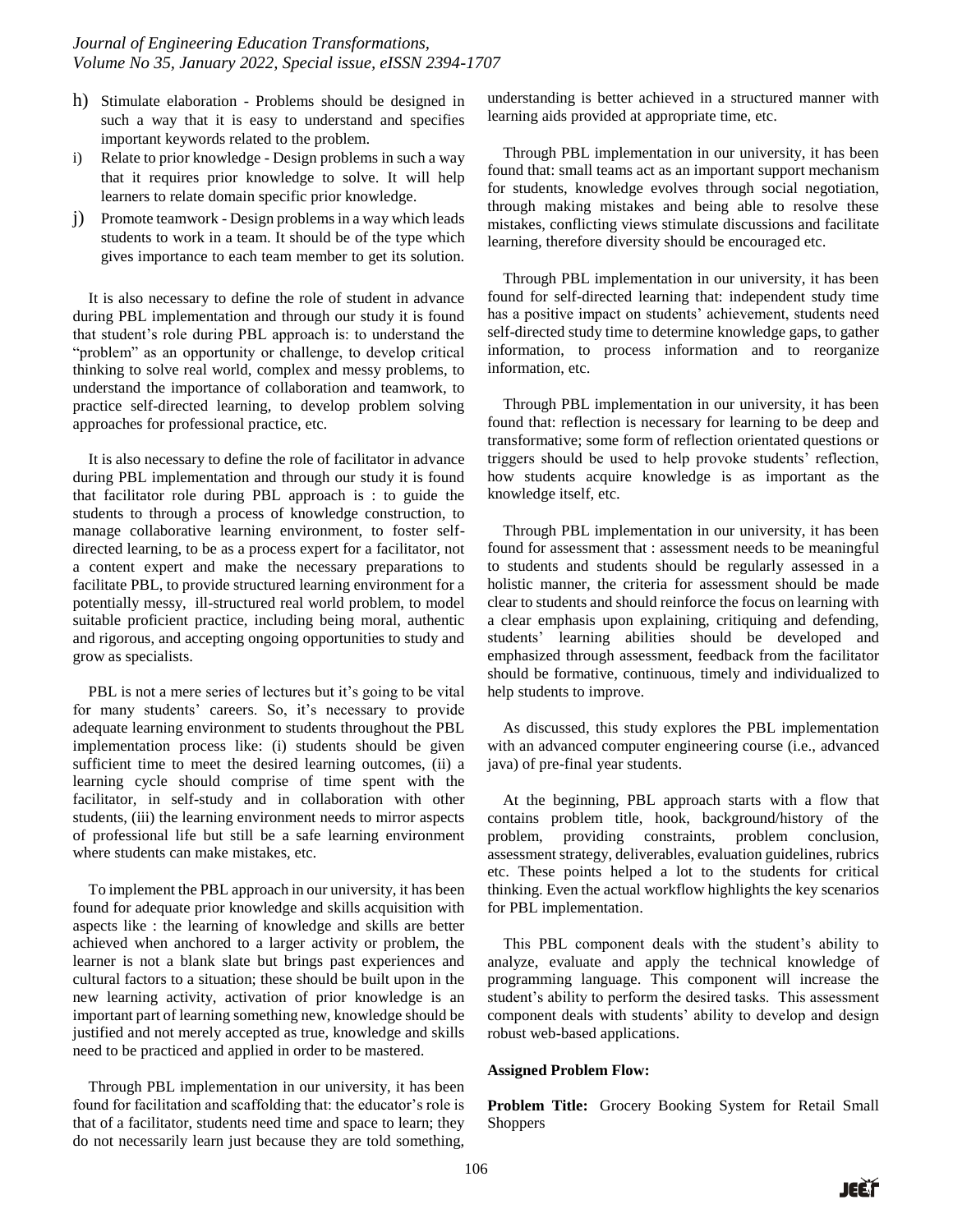- h) Stimulate elaboration Problems should be designed in such a way that it is easy to understand and specifies important keywords related to the problem.
- i) Relate to prior knowledge Design problems in such a way that it requires prior knowledge to solve. It will help learners to relate domain specific prior knowledge.
- j) Promote teamwork Design problems in a way which leads students to work in a team. It should be of the type which gives importance to each team member to get its solution.

It is also necessary to define the role of student in advance during PBL implementation and through our study it is found that student's role during PBL approach is: to understand the "problem" as an opportunity or challenge, to develop critical thinking to solve real world, complex and messy problems, to understand the importance of collaboration and teamwork, to practice self-directed learning, to develop problem solving approaches for professional practice, etc.

It is also necessary to define the role of facilitator in advance during PBL implementation and through our study it is found that facilitator role during PBL approach is : to guide the students to through a process of knowledge construction, to manage collaborative learning environment, to foster selfdirected learning, to be as a process expert for a facilitator, not a content expert and make the necessary preparations to facilitate PBL, to provide structured learning environment for a potentially messy, ill-structured real world problem, to model suitable proficient practice, including being moral, authentic and rigorous, and accepting ongoing opportunities to study and grow as specialists.

PBL is not a mere series of lectures but it's going to be vital for many students' careers. So, it's necessary to provide adequate learning environment to students throughout the PBL implementation process like: (i) students should be given sufficient time to meet the desired learning outcomes, (ii) a learning cycle should comprise of time spent with the facilitator, in self-study and in collaboration with other students, (iii) the learning environment needs to mirror aspects of professional life but still be a safe learning environment where students can make mistakes, etc.

To implement the PBL approach in our university, it has been found for adequate prior knowledge and skills acquisition with aspects like : the learning of knowledge and skills are better achieved when anchored to a larger activity or problem, the learner is not a blank slate but brings past experiences and cultural factors to a situation; these should be built upon in the new learning activity, activation of prior knowledge is an important part of learning something new, knowledge should be justified and not merely accepted as true, knowledge and skills need to be practiced and applied in order to be mastered.

Through PBL implementation in our university, it has been found for facilitation and scaffolding that: the educator's role is that of a facilitator, students need time and space to learn; they do not necessarily learn just because they are told something,

understanding is better achieved in a structured manner with learning aids provided at appropriate time, etc.

Through PBL implementation in our university, it has been found that: small teams act as an important support mechanism for students, knowledge evolves through social negotiation, through making mistakes and being able to resolve these mistakes, conflicting views stimulate discussions and facilitate learning, therefore diversity should be encouraged etc.

Through PBL implementation in our university, it has been found for self-directed learning that: independent study time has a positive impact on students' achievement, students need self-directed study time to determine knowledge gaps, to gather information, to process information and to reorganize information, etc.

Through PBL implementation in our university, it has been found that: reflection is necessary for learning to be deep and transformative; some form of reflection orientated questions or triggers should be used to help provoke students' reflection, how students acquire knowledge is as important as the knowledge itself, etc.

Through PBL implementation in our university, it has been found for assessment that : assessment needs to be meaningful to students and students should be regularly assessed in a holistic manner, the criteria for assessment should be made clear to students and should reinforce the focus on learning with a clear emphasis upon explaining, critiquing and defending, students' learning abilities should be developed and emphasized through assessment, feedback from the facilitator should be formative, continuous, timely and individualized to help students to improve.

As discussed, this study explores the PBL implementation with an advanced computer engineering course (i.e., advanced java) of pre-final year students.

At the beginning, PBL approach starts with a flow that contains problem title, hook, background/history of the problem, providing constraints, problem conclusion, assessment strategy, deliverables, evaluation guidelines, rubrics etc. These points helped a lot to the students for critical thinking. Even the actual workflow highlights the key scenarios for PBL implementation.

This PBL component deals with the student's ability to analyze, evaluate and apply the technical knowledge of programming language. This component will increase the student's ability to perform the desired tasks. This assessment component deals with students' ability to develop and design robust web-based applications.

### **Assigned Problem Flow:**

**Problem Title:** Grocery Booking System for Retail Small **Shoppers**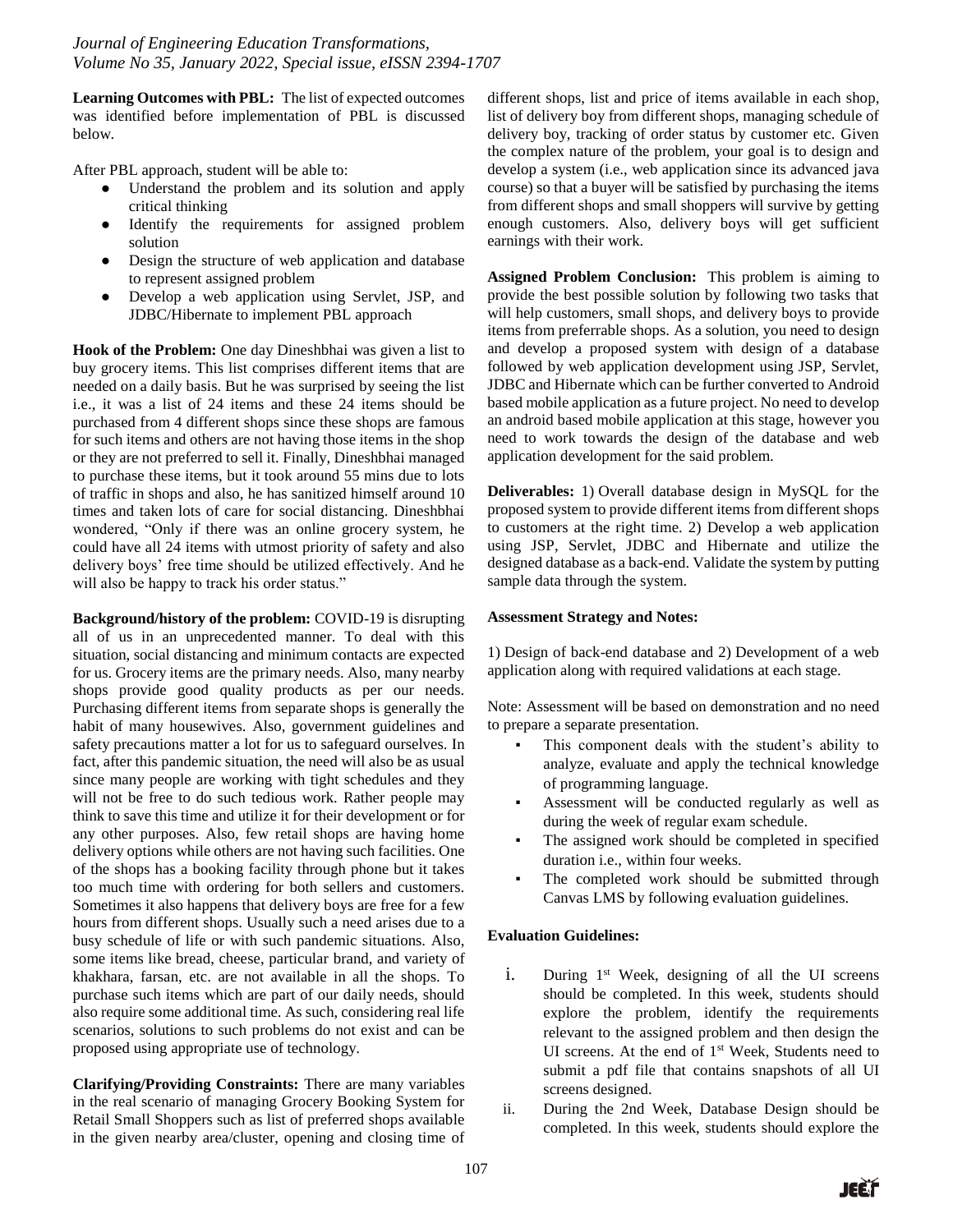**Learning Outcomes with PBL:** The list of expected outcomes was identified before implementation of PBL is discussed below.

After PBL approach, student will be able to:

- Understand the problem and its solution and apply critical thinking
- Identify the requirements for assigned problem solution
- Design the structure of web application and database to represent assigned problem
- Develop a web application using Servlet, JSP, and JDBC/Hibernate to implement PBL approach

**Hook of the Problem:** One day Dineshbhai was given a list to buy grocery items. This list comprises different items that are needed on a daily basis. But he was surprised by seeing the list i.e., it was a list of 24 items and these 24 items should be purchased from 4 different shops since these shops are famous for such items and others are not having those items in the shop or they are not preferred to sell it. Finally, Dineshbhai managed to purchase these items, but it took around 55 mins due to lots of traffic in shops and also, he has sanitized himself around 10 times and taken lots of care for social distancing. Dineshbhai wondered, "Only if there was an online grocery system, he could have all 24 items with utmost priority of safety and also delivery boys' free time should be utilized effectively. And he will also be happy to track his order status."

**Background/history of the problem:** COVID-19 is disrupting all of us in an unprecedented manner. To deal with this situation, social distancing and minimum contacts are expected for us. Grocery items are the primary needs. Also, many nearby shops provide good quality products as per our needs. Purchasing different items from separate shops is generally the habit of many housewives. Also, government guidelines and safety precautions matter a lot for us to safeguard ourselves. In fact, after this pandemic situation, the need will also be as usual since many people are working with tight schedules and they will not be free to do such tedious work. Rather people may think to save this time and utilize it for their development or for any other purposes. Also, few retail shops are having home delivery options while others are not having such facilities. One of the shops has a booking facility through phone but it takes too much time with ordering for both sellers and customers. Sometimes it also happens that delivery boys are free for a few hours from different shops. Usually such a need arises due to a busy schedule of life or with such pandemic situations. Also, some items like bread, cheese, particular brand, and variety of khakhara, farsan, etc. are not available in all the shops. To purchase such items which are part of our daily needs, should also require some additional time. As such, considering real life scenarios, solutions to such problems do not exist and can be proposed using appropriate use of technology.

**Clarifying/Providing Constraints:** There are many variables in the real scenario of managing Grocery Booking System for Retail Small Shoppers such as list of preferred shops available in the given nearby area/cluster, opening and closing time of different shops, list and price of items available in each shop, list of delivery boy from different shops, managing schedule of delivery boy, tracking of order status by customer etc. Given the complex nature of the problem, your goal is to design and develop a system (i.e., web application since its advanced java course) so that a buyer will be satisfied by purchasing the items from different shops and small shoppers will survive by getting enough customers. Also, delivery boys will get sufficient earnings with their work.

**Assigned Problem Conclusion:** This problem is aiming to provide the best possible solution by following two tasks that will help customers, small shops, and delivery boys to provide items from preferrable shops. As a solution, you need to design and develop a proposed system with design of a database followed by web application development using JSP, Servlet, JDBC and Hibernate which can be further converted to Android based mobile application as a future project. No need to develop an android based mobile application at this stage, however you need to work towards the design of the database and web application development for the said problem.

**Deliverables:** 1) Overall database design in MySQL for the proposed system to provide different items from different shops to customers at the right time. 2) Develop a web application using JSP, Servlet, JDBC and Hibernate and utilize the designed database as a back-end. Validate the system by putting sample data through the system.

## **Assessment Strategy and Notes:**

1) Design of back-end database and 2) Development of a web application along with required validations at each stage.

Note: Assessment will be based on demonstration and no need to prepare a separate presentation.

- This component deals with the student's ability to analyze, evaluate and apply the technical knowledge of programming language.
- Assessment will be conducted regularly as well as during the week of regular exam schedule.
- The assigned work should be completed in specified duration i.e., within four weeks.
- The completed work should be submitted through Canvas LMS by following evaluation guidelines.

## **Evaluation Guidelines:**

- i. During  $1<sup>st</sup>$  Week, designing of all the UI screens should be completed. In this week, students should explore the problem, identify the requirements relevant to the assigned problem and then design the UI screens. At the end of 1<sup>st</sup> Week, Students need to submit a pdf file that contains snapshots of all UI screens designed.
- ii. During the 2nd Week, Database Design should be completed. In this week, students should explore the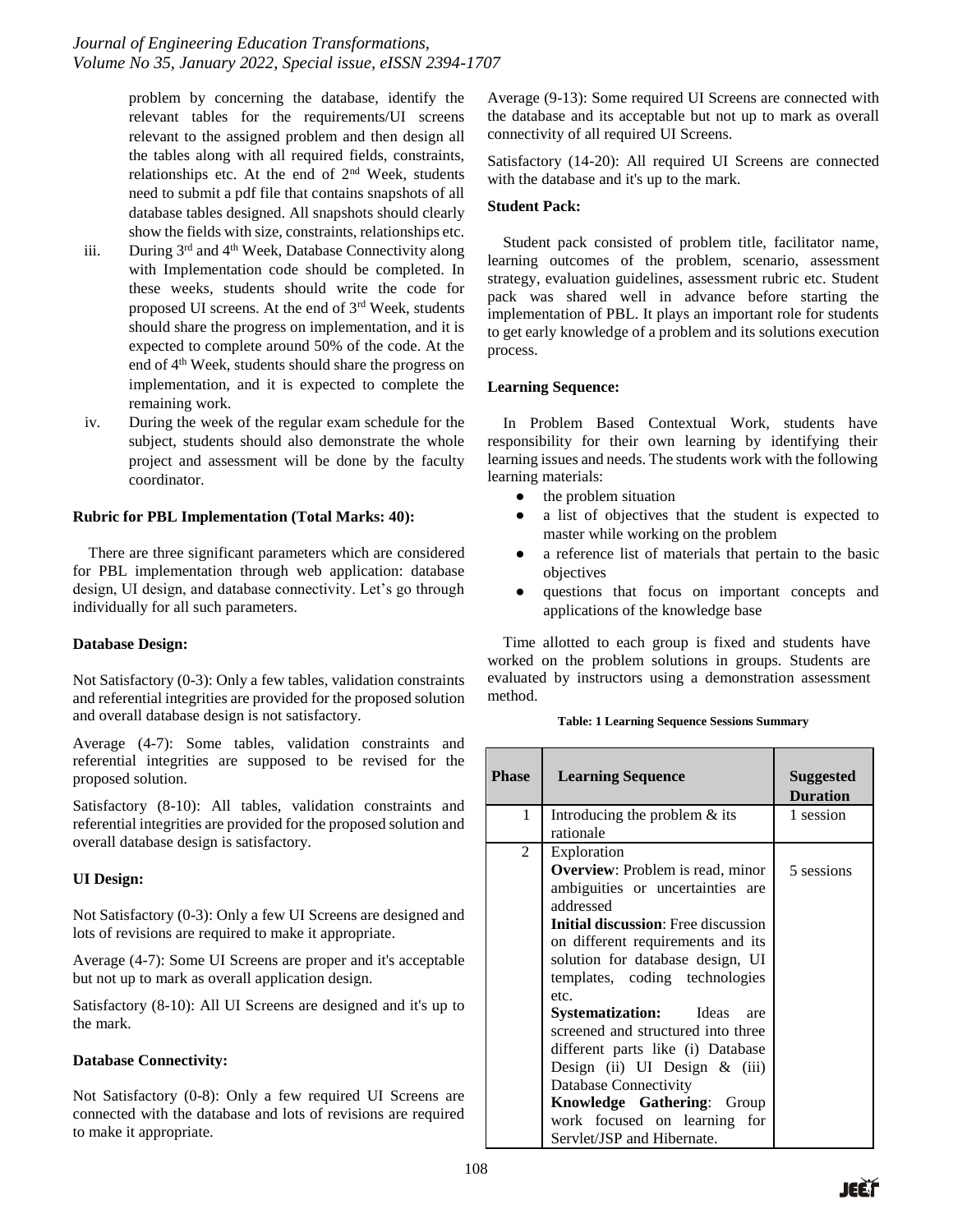problem by concerning the database, identify the relevant tables for the requirements/UI screens relevant to the assigned problem and then design all the tables along with all required fields, constraints, relationships etc. At the end of  $2<sup>nd</sup>$  Week, students need to submit a pdf file that contains snapshots of all database tables designed. All snapshots should clearly show the fields with size, constraints, relationships etc.

- iii. During  $3<sup>rd</sup>$  and  $4<sup>th</sup>$  Week, Database Connectivity along with Implementation code should be completed. In these weeks, students should write the code for proposed UI screens. At the end of  $3<sup>rd</sup>$  Week, students should share the progress on implementation, and it is expected to complete around 50% of the code. At the end of 4th Week, students should share the progress on implementation, and it is expected to complete the remaining work.
- iv. During the week of the regular exam schedule for the subject, students should also demonstrate the whole project and assessment will be done by the faculty coordinator.

# **Rubric for PBL Implementation (Total Marks: 40):**

There are three significant parameters which are considered for PBL implementation through web application: database design, UI design, and database connectivity. Let's go through individually for all such parameters.

## **Database Design:**

Not Satisfactory (0-3): Only a few tables, validation constraints and referential integrities are provided for the proposed solution and overall database design is not satisfactory.

Average (4-7): Some tables, validation constraints and referential integrities are supposed to be revised for the proposed solution.

Satisfactory (8-10): All tables, validation constraints and referential integrities are provided for the proposed solution and overall database design is satisfactory.

# **UI Design:**

Not Satisfactory (0-3): Only a few UI Screens are designed and lots of revisions are required to make it appropriate.

Average (4-7): Some UI Screens are proper and it's acceptable but not up to mark as overall application design.

Satisfactory (8-10): All UI Screens are designed and it's up to the mark.

# **Database Connectivity:**

Not Satisfactory (0-8): Only a few required UI Screens are connected with the database and lots of revisions are required to make it appropriate.

Average (9-13): Some required UI Screens are connected with the database and its acceptable but not up to mark as overall connectivity of all required UI Screens.

Satisfactory (14-20): All required UI Screens are connected with the database and it's up to the mark.

# **Student Pack:**

Student pack consisted of problem title, facilitator name, learning outcomes of the problem, scenario, assessment strategy, evaluation guidelines, assessment rubric etc. Student pack was shared well in advance before starting the implementation of PBL. It plays an important role for students to get early knowledge of a problem and its solutions execution process.

# **Learning Sequence:**

In Problem Based Contextual Work, students have responsibility for their own learning by identifying their learning issues and needs. The students work with the following learning materials:

- the problem situation
- a list of objectives that the student is expected to master while working on the problem
- a reference list of materials that pertain to the basic objectives
- questions that focus on important concepts and applications of the knowledge base

Time allotted to each group is fixed and students have worked on the problem solutions in groups. Students are evaluated by instructors using a demonstration assessment method.

**Table: 1 Learning Sequence Sessions Summary**

| <b>Phase</b>  | <b>Learning Sequence</b>                                                                                                                                                                                                                                                                                                                                                                                                                                                                                                                                    | <b>Suggested</b><br><b>Duration</b> |
|---------------|-------------------------------------------------------------------------------------------------------------------------------------------------------------------------------------------------------------------------------------------------------------------------------------------------------------------------------------------------------------------------------------------------------------------------------------------------------------------------------------------------------------------------------------------------------------|-------------------------------------|
| 1             | Introducing the problem $&$ its<br>rationale                                                                                                                                                                                                                                                                                                                                                                                                                                                                                                                | 1 session                           |
| $\mathcal{L}$ | Exploration<br><b>Overview:</b> Problem is read, minor<br>ambiguities or uncertainties are<br>addressed<br><b>Initial discussion:</b> Free discussion<br>on different requirements and its<br>solution for database design, UI<br>templates, coding technologies<br>etc.<br><b>Systematization:</b> Ideas<br>are<br>screened and structured into three<br>different parts like (i) Database<br>Design (ii) UI Design $\&$ (iii)<br>Database Connectivity<br><b>Knowledge Gathering:</b> Group<br>work focused on learning for<br>Servlet/JSP and Hibernate. | 5 sessions                          |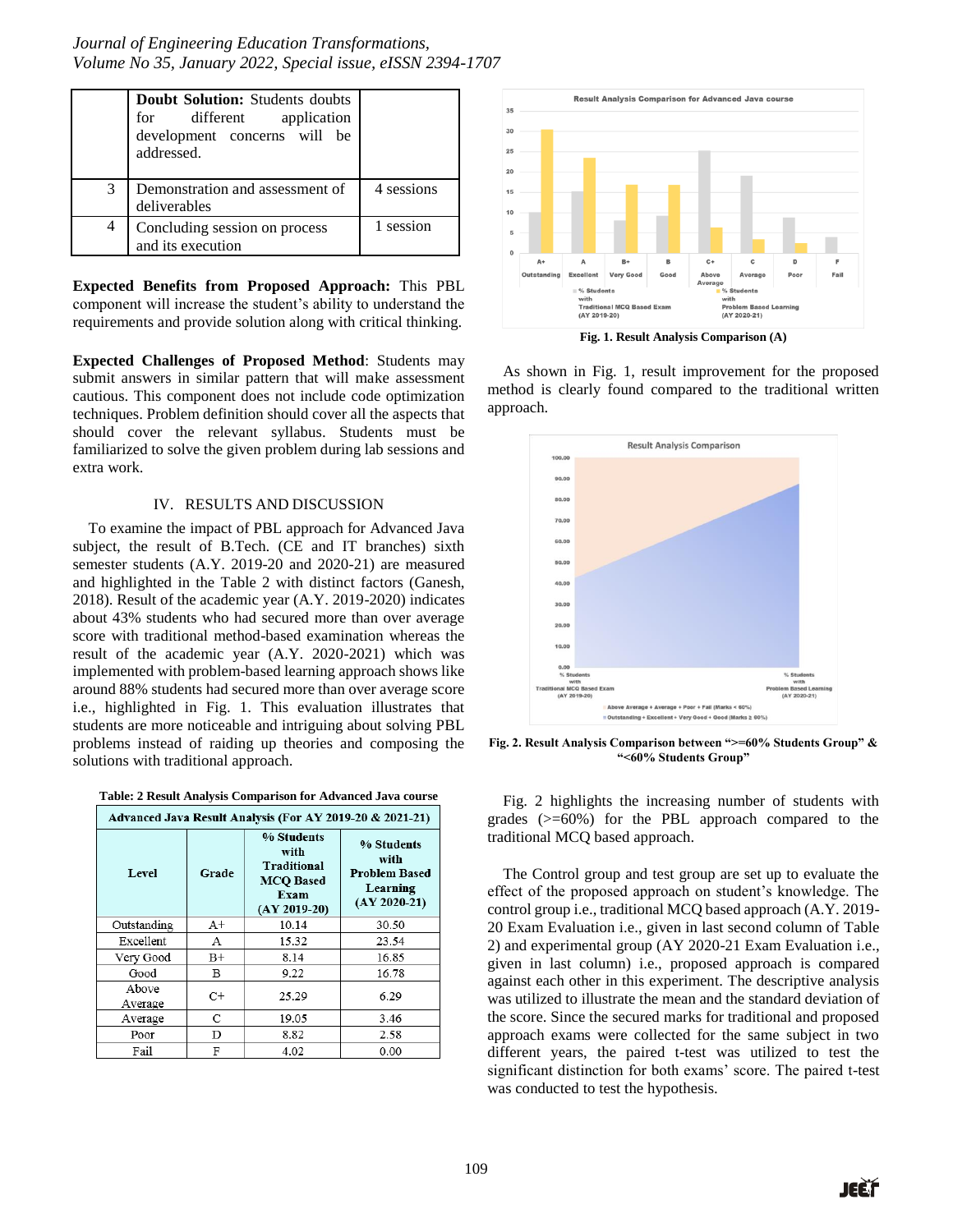|   | Doubt Solution: Students doubts<br>for different application<br>development concerns will be<br>addressed. |            |
|---|------------------------------------------------------------------------------------------------------------|------------|
| 3 | Demonstration and assessment of<br>deliverables                                                            | 4 sessions |
| 4 | Concluding session on process<br>and its execution                                                         | 1 session  |

**Expected Benefits from Proposed Approach:** This PBL component will increase the student's ability to understand the requirements and provide solution along with critical thinking.

**Expected Challenges of Proposed Method**: Students may submit answers in similar pattern that will make assessment cautious. This component does not include code optimization techniques. Problem definition should cover all the aspects that should cover the relevant syllabus. Students must be familiarized to solve the given problem during lab sessions and extra work.

## IV. RESULTS AND DISCUSSION

To examine the impact of PBL approach for Advanced Java subject, the result of B.Tech. (CE and IT branches) sixth semester students (A.Y. 2019-20 and 2020-21) are measured and highlighted in the Table 2 with distinct factors (Ganesh, 2018). Result of the academic year (A.Y. 2019-2020) indicates about 43% students who had secured more than over average score with traditional method-based examination whereas the result of the academic year (A.Y. 2020-2021) which was implemented with problem-based learning approach shows like around 88% students had secured more than over average score i.e., highlighted in Fig. 1. This evaluation illustrates that students are more noticeable and intriguing about solving PBL problems instead of raiding up theories and composing the solutions with traditional approach.

| Table: 2 Result Analysis Comparison for Advanced Java course |  |
|--------------------------------------------------------------|--|
|--------------------------------------------------------------|--|

| Advanced Java Result Analysis (For AY 2019-20 & 2021-21) |             |                                                                                        |                                                                          |  |  |
|----------------------------------------------------------|-------------|----------------------------------------------------------------------------------------|--------------------------------------------------------------------------|--|--|
| Level                                                    | Grade       | % Students<br>with<br><b>Traditional</b><br><b>MCO</b> Based<br>Exam<br>$(AY 2019-20)$ | % Students<br>with<br><b>Problem Based</b><br>Learning<br>$(AY 2020-21)$ |  |  |
| Outstanding                                              | A+          | 10.14                                                                                  | 30.50                                                                    |  |  |
| Excellent                                                | А           | 15.32                                                                                  | 23.54                                                                    |  |  |
| Very Good                                                | $_{\rm B+}$ | 8.14                                                                                   | 16.85                                                                    |  |  |
| Good                                                     | B           | 9.22                                                                                   | 16.78                                                                    |  |  |
| Above<br>Average                                         | $C+$        | 25.29                                                                                  | 6.29                                                                     |  |  |
| Average                                                  | C           | 19.05                                                                                  | 3.46                                                                     |  |  |
| Poor                                                     | D           | 8.82                                                                                   | 2.58                                                                     |  |  |
| Fail                                                     | F           | 4.02                                                                                   | 0.00                                                                     |  |  |



**Fig. 1. Result Analysis Comparison (A)**

As shown in Fig. 1, result improvement for the proposed method is clearly found compared to the traditional written approach.



**Fig. 2. Result Analysis Comparison between ">=60% Students Group" & "<60% Students Group"**

Fig. 2 highlights the increasing number of students with grades (>=60%) for the PBL approach compared to the traditional MCQ based approach.

The Control group and test group are set up to evaluate the effect of the proposed approach on student's knowledge. The control group i.e., traditional MCQ based approach (A.Y. 2019- 20 Exam Evaluation i.e., given in last second column of Table 2) and experimental group (AY 2020-21 Exam Evaluation i.e., given in last column) i.e., proposed approach is compared against each other in this experiment. The descriptive analysis was utilized to illustrate the mean and the standard deviation of the score. Since the secured marks for traditional and proposed approach exams were collected for the same subject in two different years, the paired t-test was utilized to test the significant distinction for both exams' score. The paired t-test was conducted to test the hypothesis.

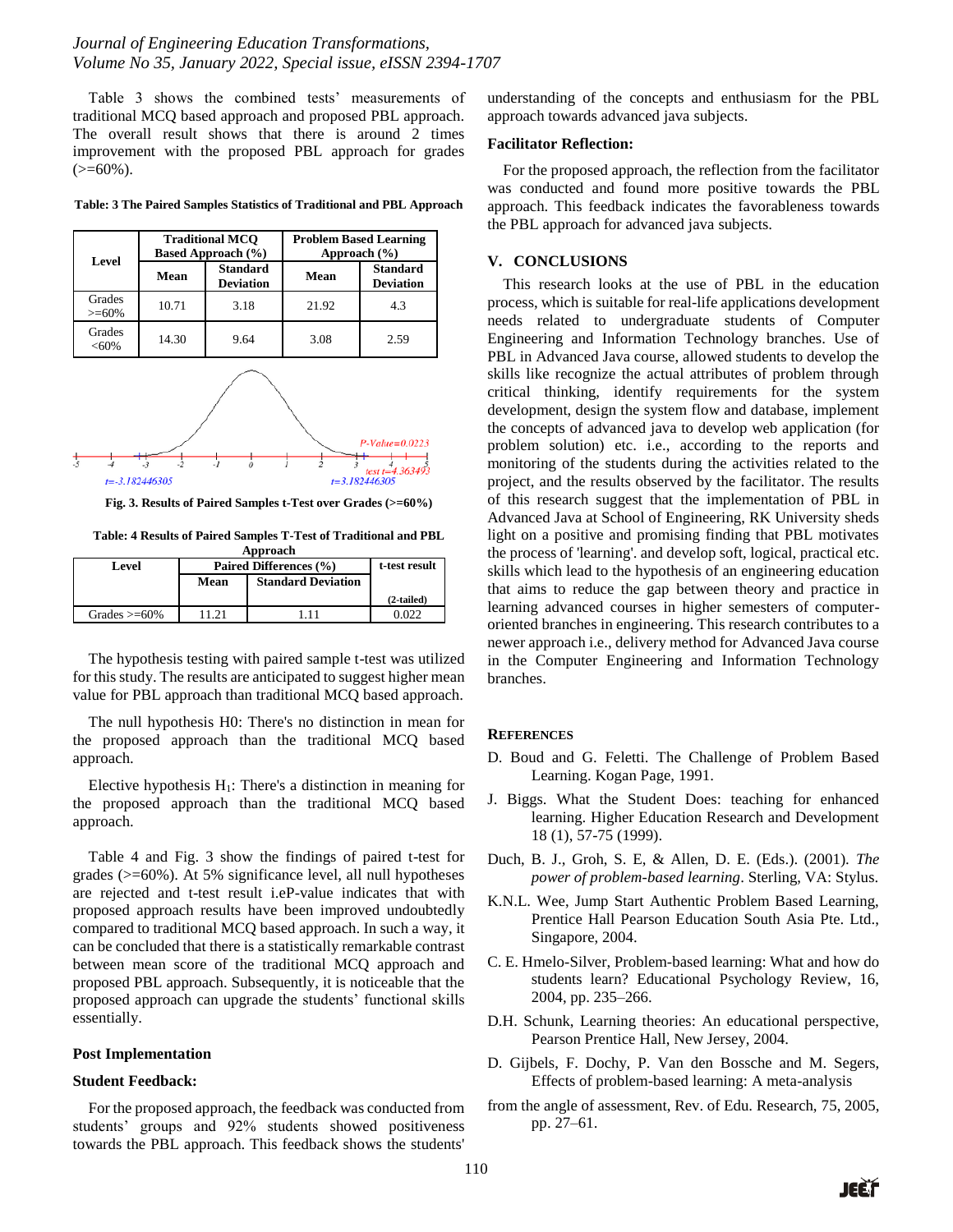Table 3 shows the combined tests' measurements of traditional MCQ based approach and proposed PBL approach. The overall result shows that there is around 2 times improvement with the proposed PBL approach for grades  $(>=60\%)$ .

| Level               | <b>Traditional MCO</b><br><b>Based Approach (%)</b> |                                     | <b>Problem Based Learning</b><br>Approach $(\% )$ |                                     |
|---------------------|-----------------------------------------------------|-------------------------------------|---------------------------------------------------|-------------------------------------|
|                     | Mean                                                | <b>Standard</b><br><b>Deviation</b> | Mean                                              | <b>Standard</b><br><b>Deviation</b> |
| Grades<br>$>= 60\%$ | 10.71                                               | 3.18                                | 21.92                                             | 4.3                                 |
| Grades<br>$< 60\%$  | 14.30                                               | 9.64                                | 3.08                                              | 2.59                                |



**Fig. 3. Results of Paired Samples t-Test over Grades (>=60%)**

**Table: 4 Results of Paired Samples T-Test of Traditional and PBL Approach**

| <i><b>IMPLOUTH</b></i> |                        |                           |              |  |
|------------------------|------------------------|---------------------------|--------------|--|
| Level                  | Paired Differences (%) | t-test result             |              |  |
|                        | Mean                   | <b>Standard Deviation</b> |              |  |
|                        |                        |                           | $(2-tailed)$ |  |
| Grades $\geq 60\%$     | 11.21                  |                           |              |  |

The hypothesis testing with paired sample t-test was utilized for this study. The results are anticipated to suggest higher mean value for PBL approach than traditional MCQ based approach.

The null hypothesis H0: There's no distinction in mean for the proposed approach than the traditional MCQ based approach.

Elective hypothesis  $H_1$ : There's a distinction in meaning for the proposed approach than the traditional MCQ based approach.

Table 4 and Fig. 3 show the findings of paired t-test for grades (>=60%). At 5% significance level, all null hypotheses are rejected and t-test result i.eP-value indicates that with proposed approach results have been improved undoubtedly compared to traditional MCQ based approach. In such a way, it can be concluded that there is a statistically remarkable contrast between mean score of the traditional MCQ approach and proposed PBL approach. Subsequently, it is noticeable that the proposed approach can upgrade the students' functional skills essentially.

#### **Post Implementation**

#### **Student Feedback:**

For the proposed approach, the feedback was conducted from students' groups and 92% students showed positiveness towards the PBL approach. This feedback shows the students'

understanding of the concepts and enthusiasm for the PBL approach towards advanced java subjects.

#### **Facilitator Reflection:**

For the proposed approach, the reflection from the facilitator was conducted and found more positive towards the PBL approach. This feedback indicates the favorableness towards the PBL approach for advanced java subjects.

### **V. CONCLUSIONS**

This research looks at the use of PBL in the education process, which is suitable for real-life applications development needs related to undergraduate students of Computer Engineering and Information Technology branches. Use of PBL in Advanced Java course, allowed students to develop the skills like recognize the actual attributes of problem through critical thinking, identify requirements for the system development, design the system flow and database, implement the concepts of advanced java to develop web application (for problem solution) etc. i.e., according to the reports and monitoring of the students during the activities related to the project, and the results observed by the facilitator. The results of this research suggest that the implementation of PBL in Advanced Java at School of Engineering, RK University sheds light on a positive and promising finding that PBL motivates the process of 'learning'. and develop soft, logical, practical etc. skills which lead to the hypothesis of an engineering education that aims to reduce the gap between theory and practice in learning advanced courses in higher semesters of computeroriented branches in engineering. This research contributes to a newer approach i.e., delivery method for Advanced Java course in the Computer Engineering and Information Technology branches.

### **REFERENCES**

- D. Boud and G. Feletti. The Challenge of Problem Based Learning. Kogan Page, 1991.
- J. Biggs. What the Student Does: teaching for enhanced learning. Higher Education Research and Development 18 (1), 57-75 (1999).
- Duch, B. J., Groh, S. E, & Allen, D. E. (Eds.). (2001). *The power of problem-based learning*. Sterling, VA: Stylus.
- K.N.L. Wee, Jump Start Authentic Problem Based Learning, Prentice Hall Pearson Education South Asia Pte. Ltd., Singapore, 2004.
- C. E. Hmelo-Silver, Problem-based learning: What and how do students learn? Educational Psychology Review, 16, 2004, pp. 235–266.
- D.H. Schunk, Learning theories: An educational perspective, Pearson Prentice Hall, New Jersey, 2004.
- D. Gijbels, F. Dochy, P. Van den Bossche and M. Segers, Effects of problem-based learning: A meta-analysis
- from the angle of assessment, Rev. of Edu. Research, 75, 2005, pp. 27–61.